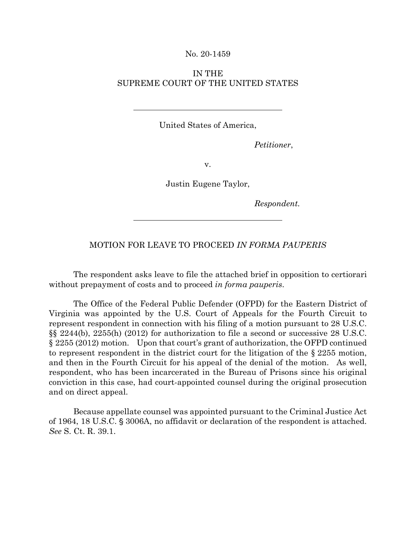## No. 20-1459

## IN THE SUPREME COURT OF THE UNITED STATES

United States of America,

*Petitioner*,

v.

Justin Eugene Taylor,

*Respondent.* 

## MOTION FOR LEAVE TO PROCEED *IN FORMA PAUPERIS*

The respondent asks leave to file the attached brief in opposition to certiorari without prepayment of costs and to proceed *in forma pauperis*.

The Office of the Federal Public Defender (OFPD) for the Eastern District of Virginia was appointed by the U.S. Court of Appeals for the Fourth Circuit to represent respondent in connection with his filing of a motion pursuant to 28 U.S.C. §§ 2244(b), 2255(h) (2012) for authorization to file a second or successive 28 U.S.C. § 2255 (2012) motion. Upon that court's grant of authorization, the OFPD continued to represent respondent in the district court for the litigation of the § 2255 motion, and then in the Fourth Circuit for his appeal of the denial of the motion. As well, respondent, who has been incarcerated in the Bureau of Prisons since his original conviction in this case, had court-appointed counsel during the original prosecution and on direct appeal.

Because appellate counsel was appointed pursuant to the Criminal Justice Act of 1964, 18 U.S.C. § 3006A, no affidavit or declaration of the respondent is attached. *See* S. Ct. R. 39.1.